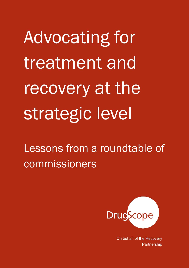Lessons from a roundtable of commissioners



On behalf of the Recovery Partnership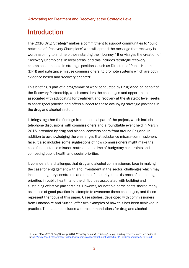## Introduction

The 2010 *Drug Strategy*<sup>1</sup> makes a commitment to support communities to "build networks of 'Recovery Champions' who will spread the message that recovery is worth aspiring to and help those starting their journey." It envisages the creation of 'Recovery Champions' in local areas, and this includes 'strategic recovery champions' – people in strategic positions, such as Directors of Public Health (DPH) and substance misuse commissioners, to promote systems which are both evidence based and 'recovery oriented'.

This briefing is part of a programme of work conducted by DrugScope on behalf of the Recovery Partnership, which considers the challenges and opportunities associated with advocating for treatment and recovery at the strategic level, seeks to share good practice and offers support to those occupying strategic positions in the drug and alcohol sector.

It brings together the findings from the initial part of the project, which include telephone discussions with commissioners and a roundtable event held in March 2015, attended by drug and alcohol commissioners from around England. In addition to acknowledging the challenges that substance misuse commissioners face, it also includes some suggestions of how commissioners might make the case for substance misuse treatment at a time of budgetary constraints and competing public health and social priorities.

It considers the challenges that drug and alcohol commissioners face in making the case for engagement with and investment in the sector, challenges which may include budgetary constraints at a time of austerity, the existence of competing priorities in public health, and the difficulties associated with building and sustaining effective partnerships. However, roundtable participants shared many examples of good practice in attempts to overcome these challenges, and these represent the focus of this paper. Case studies, developed with commissioners from Lancashire and Sutton, offer two examples of how this has been achieved in practice. The paper concludes with recommendations for drug and alcohol

<sup>1</sup> Home Office (2010) *Drug Strategy 2010: Reducing demand, restricting supply, building recovery.* Accessed online at https://www.gov.uk/government/uploads/system/uploads/attachment\_data/file/118336/drug-strategy-2010.pdf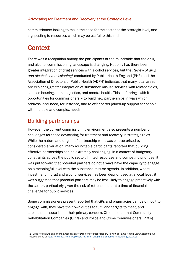commissioners looking to make the case for the sector at the strategic level, and signposting to resources which may be useful to this end.

## **Context**

There was a recognition among the participants at the roundtable that the drug and alcohol commissioning landscape is changing. Not only has there been greater integration of drug services with alcohol services, but the *Review of drug and alcohol commissioning*<sup>2</sup> conducted by Public Health England (PHE) and the Association of Directors of Public Health (ADPH) indicates that many local areas are exploring greater integration of substance misuse services with related fields, such as housing, criminal justice, and mental health. This shift brings with it opportunities for commissioners – to build new partnerships in ways which address local need, for instance, and to offer better joined-up support for people with multiple and complex needs.

### Building partnerships

However, the current commissioning environment also presents a number of challenges for those advocating for treatment and recovery in strategic roles. While the nature and degree of partnership work was characterised by considerable variation, many roundtable participants reported that building effective partnerships can be extremely challenging. In a context of budgetary constraints across the public sector, limited resources and competing priorities, it was put forward that potential partners do not always have the capacity to engage on a meaningful level with the substance misuse agenda. In addition, where investment in drug and alcohol services has been deprioritised at a local level, it was suggested that potential partners may be less likely to engage proactively with the sector, particularly given the risk of retrenchment at a time of financial challenge for public services.

Some commissioners present reported that GPs and pharmacies can be difficult to engage with, they have their own duties to fulfil and targets to meet, and substance misuse is not their primary concern. Others noted that Community Rehabilitation Companies (CRCs) and Police and Crime Commissioners (PCCs)

<sup>2</sup> Public Health England and the Association of Directors of Public Health. *Review of Public Health Commissioning*. Accessed online at <http://www.nta.nhs.uk/uploads/review-of-drug-and-alcohol-commissioning-2014.pdf>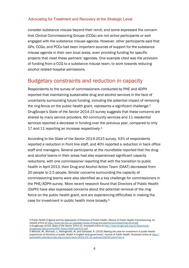consider substance misuse beyond their remit, and some expressed the concern that Clinical Commissioning Groups (CCGs) are not active participants or well engaged with the substance misuse agenda. However, other participants said that GPs, CCGs, and PCCs had been important sources of support for the substance misuse agenda in their own local areas, even providing funding for specific projects that meet these partners' agendas. One example cited was the provision of funding from a CCG to a substance misuse team, to work towards reducing alcohol related hospital admissions.

### Budgetary constraints and reduction in capacity

Respondents to the survey of commissioners conducted by PHE and ADPH reported that maintaining sustainable drug and alcohol services in the face of uncertainty surrounding future funding, including the potential impact of removing the ring-fence on the public health grant, represents a significant challenge.<sup>3</sup> DrugScope's *State of the Sector 2014-15* survey suggests that these concerns are shared by many service providers. 60 community services and 11 residential services reported a decrease in funding over the previous year, compared to only 17 and 11 reporting an increase respectively.<sup>4</sup>

According to the *State of the Sector 2014-2015* survey, 53% of respondents reported a reduction in front line staff, and 40% reported a reduction in back office staff and managers. Several participants at the roundtable reported that the drug and alcohol teams in their areas had also experienced significant capacity reductions, with one commissioner reporting that with the transition to public health in April 2013, their Drug and Alcohol Action Team (DAAT) decreased from 20 people to 2.5 people. Similar concerns surrounding the capacity of commissioning teams were also identified as a key challenge for commissioners in the PHE/ADPH survey. More recent research found that Directors of Public Health (DsPH) have also expressed concerns about the potential removal of the ringfence on the public health grant, and are experiencing difficulties in making the case for investment in public health more broadly.<sup>5</sup>

<sup>3</sup> Public Health England and the Association of Directors of Public Health. *Review of Public Health Commissioning*. Accessed online at <http://www.nta.nhs.uk/uploads/review-of-drug-and-alcohol-commissioning-2014.pdf> 4 DrugScope (2015) *State of the Sector 2014-15*. Accessed online at [http://www.drugscope.org.uk/Resources/](http://www.drugscope.org.uk/Resources/Drugscope/Documents/PDF/Policy/SoSFinal2015.pdf) [Drugscope/Documents/PDF/Policy/SoSFinal2015.pdf](http://www.drugscope.org.uk/Resources/Drugscope/Documents/PDF/Policy/SoSFinal2015.pdf)

<sup>5</sup> Willmott, M., Womack, J., Hollingworth, W. and Campbell, R. (2015) *Making the case for investment in public health: experiences of Directors of public Health in English local government.* Journal of Public Health. *Accessed online at [http://](http://jpubhealth.oxfordjournals.org/content/early/2015/03/15/pubmed.fdv035.short?rss=1) [jpubhealth.oxfordjournals.org/content/early/2015/03/15/pubmed.fdv035.short?rss=1](http://jpubhealth.oxfordjournals.org/content/early/2015/03/15/pubmed.fdv035.short?rss=1)*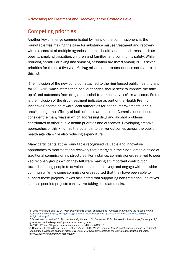### Competing priorities

Another key challenge communicated by many of the commissioners at the roundtable was making the case for substance misuse treatment and recovery within a context of multiple agendas in public health and related areas, such as obesity, smoking cessation, children and families, and community safety. While reducing harmful drinking and smoking cessation are listed among PHE's seven priorities for the next five years<sup>6</sup>, drug misuse and treatment does not feature in this list.

The inclusion of the new condition attached to the ring fenced public health grant for 2015-16, which states that local authorities should seek to improve the take up of and outcomes from drug and alcohol treatment services7, is welcome. So too is the inclusion of the drug treatment indicator as part of the Health Premium Incentive Scheme, to reward local authorities for health improvements in this area8, though the efficacy of both of these are untested Commissioners need to consider the many ways in which addressing drug and alcohol problems contributes to other public health priorities and outcomes. Developing creative approaches of this kind has the potential to deliver outcomes across the public health agenda while also reducing expenditure.

Many participants at the roundtable recognised valuable and innovative approaches to treatment and recovery that emerged in their local areas outside of traditional commissioning structures. For instance, commissioners referred to peer -led recovery groups which they felt were making an important contribution towards helping people to develop sustained recovery and engage with the wider community. While some commissioners reported that they have been able to support these projects, it was also noted that supporting non-traditional initiatives such as peer-led projects can involve taking calculated risks.

6 Public Health England (2014) *From evidence into action: opportunities to protect and improve the nation's health.*  Accessed online at [https://www.gov.uk/government/uploads/system/uploads/attachment\\_data/file/366852/](https://www.gov.uk/government/uploads/system/uploads/attachment_data/file/366852/PHE_Priorities.pdf) [PHE\\_Priorities.pdf](https://www.gov.uk/government/uploads/system/uploads/attachment_data/file/366852/PHE_Priorities.pdf)

7 Department of Health (2014) *Local Authority Circular 17th December 2014*. Accessed online at https://www.gov.uk/ government/uploads/system/uploads/attachment\_data/

file/388172final\_PH\_grant\_determination\_and\_conditions\_2015\_16.pdf

8. Department of Health and Public Health England (2015) *Health Premium Incentive Scheme. Response to Technical Consultation.* Accessed online at *https://www.gov.uk/government/uploads/system/uploads/attachment\_data/ file/410815/health-premium-respons.pdf*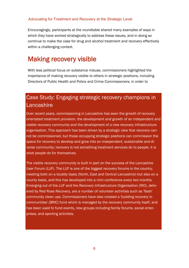Encouragingly, participants at the roundtable shared many examples of ways in which they have worked strategically to address these issues, and in doing so continue to make the case for drug and alcohol treatment and recovery effectively within a challenging context.

## Making recovery visible

With less political focus on substance misuse, commissioners highlighted the importance of making recovery visible to others in strategic positions, including Directors of Public Health and Police and Crime Commissioners, in order to

## Case Study: Engaging strategic recovery champions in **Lancashire**

Over recent years, commissioning in Lancashire has seen the growth of recovery orientated treatment provision, the development and growth of an independent and visible recovery community and the development of a new recovery infrastructure organisation. This approach has been driven by a strategic view that recovery cannot be commissioned, but those occupying strategic positions can commission the space for recovery to develop and grow into an independent, sustainable and diverse community; recovery is not something treatment services do to people, it is what people do for themselves.

The visible recovery community is built in part on the success of the Lancashire User Forum (LUF). The LUF is one of the biggest recovery forums in the country, meeting both on a locality basis (North, East and Central Lancashire) but also on a county basis, and this has developed into a mini conference every two months. Emerging out of the LUF and the Recovery Infrastructure Organisation (RIO), delivered by Red Rose Recovery, are a number of volunteer activities such as 'flash' community clean ups. Commissioners have also created a 'building recovery in communities' (BRIC) fund which is managed by the recovery community itself, and has been used to fund events, new groups including family forums, social enterprises, and sporting activities.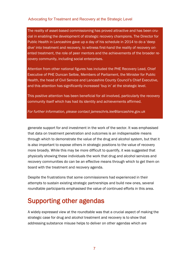The reality of asset-based commissioning has proved attractive and has been crucial in enabling the development of strategic recovery champions. The Director for Public Health in Lancashire gave up a day of his schedule in 2014 to do a 'deep dive' into treatment and recovery, to witness first-hand the reality of recovery oriented treatment, the role of peer mentors and the achievements of the broader recovery community, including social enterprises.

Attention from other national figures has included the PHE Recovery Lead, Chief Executive of PHE Duncan Selbie, Members of Parliament, the Minister for Public Health, the head of Civil Service and Lancashire County Council's Chief Executive, and this attention has significantly increased 'buy in' at the strategic level.

This positive attention has been beneficial for all involved, particularly the recovery community itself which has had its identity and achievements affirmed.

*For further information, please contact jameschris.lee@lancashire.gov.uk*

generate support for and investment in the work of the sector. It was emphasised that data on treatment penetration and outcomes is an indispensable means through which to demonstrate the value of the drug and alcohol system, but that it is also important to expose others in strategic positions to the value of recovery more broadly. While this may be more difficult to quantify, it was suggested that physically showing these individuals the work that drug and alcohol services and recovery communities do can be an effective means through which to get them on board with the treatment and recovery agenda.

Despite the frustrations that some commissioners had experienced in their attempts to sustain existing strategic partnerships and build new ones, several roundtable participants emphasised the value of continued efforts in this area.

# Supporting other agendas

A widely expressed view at the roundtable was that a crucial aspect of making the strategic case for drug and alcohol treatment and recovery is to show that addressing substance misuse helps to deliver on other agendas which are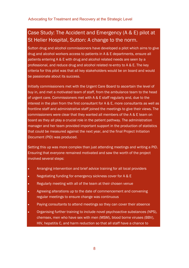## Case Study: The Accident and Emergency (A & E) pilot at St Helier Hospital, Sutton: A change to the norm.

Sutton drug and alcohol commissioners have developed a pilot which aims to give drug and alcohol workers access to patients in A & E departments, ensure all patients entering A & E with drug and alcohol related needs are seen by a professional, and reduce drug and alcohol related re-entry to A & E. The key criteria for this pilot was that all key stakeholders would be on board and would be passionate about its success.

Initially commissioners met with the Urgent Care Board to ascertain the level of buy in, and met a motivated team of staff, from the ambulance team to the head of urgent care. Commissioners met with A & E staff regularly and, due to the interest in the plan from the first consultant for A & E, more consultants as well as frontline staff and administrative staff joined the meetings to give their views. The commissioners were clear that they wanted all members of the A & E team on board as they all play a crucial role in the patient pathway. The administration manager and her team provided important support in the production of statistics that could be measured against the next year, and the final Project Initiation Document (PID) was produced.

Setting this up was more complex than just attending meetings and writing a PID. Ensuring that everyone remained motivated and saw the worth of the project involved several steps:

- Arranging intervention and brief advice training for all local providers
- Negotiating funding for emergency sickness cover for A & E
- Regularly meeting with all of the team at their chosen venue
- Agreeing alterations up to the date of commencement and convening regular meetings to ensure change was continuous
- Paying consultants to attend meetings so they can cover their absence
- Organising further training to include novel psychoactive substances (NPS), chemsex, men who have sex with men (MSM), blood borne viruses (BBV), HIV, hepatitis C, and harm reduction so that all staff have a chance to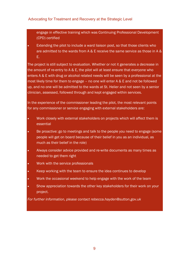engage in effective training which was Continuing Professional Development (CPD) certified

**Extending the pilot to include a ward liaison post, so that those clients who** are admitted to the wards from A & E receive the same service as those in A & E.

The project is still subject to evaluation. Whether or not it generates a decrease in the amount of re-entry to A & E, the pilot will at least ensure that everyone who enters A & E with drug or alcohol related needs will be seen by a professional at the most likely time for them to engage – no one will enter A & E and not be followed up, and no one will be admitted to the wards at St. Helier and not seen by a senior clinician, assessed, followed through and kept engaged within services.

In the experience of the commissioner leading the pilot, the most relevant points for any commissioner or service engaging with external stakeholders are:

- Work closely with external stakeholders on projects which will affect them is essential
- Be proactive: go to meetings and talk to the people you need to engage (some people will get on board because of their belief in you as an individual, as much as their belief in the role)
- Always consider advice provided and re-write documents as many times as needed to get them right
- Work with the service professionals
- Keep working with the team to ensure the idea continues to develop
- Work the occasional weekend to help engage with the work of the team
- Show appreciation towards the other key stakeholders for their work on your project.

*For further information, please contact rebecca.hayden@sutton.gov.uk*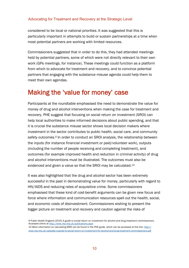considered to be local or national priorities. It was suggested that this is particularly important in attempts to build or sustain partnerships at a time when most potential partners are working with limited resources.

Commissioners suggested that in order to do this, they had attended meetings held by potential partners, some of which were not directly relevant to their own work (GPs meetings, for instance). These meetings could function as a platform from which to advocate for treatment and recovery, and to convince potential partners that engaging with the substance misuse agenda could help them to meet their own agendas.

## Making the 'value for money' case

Participants at the roundtable emphasised the need to demonstrate the value for money of drug and alcohol interventions when making the case for treatment and recovery. PHE suggest that focusing on social return on investment (SROI) can help local authorities to make informed decisions about public spending, and that it is crucial the substance misuse sector shows local decision makers where investment in the sector contributes to public health, social care, and community safety outcomes.<sup>9</sup> In order to conduct an SROI analysis, the relationship between the inputs (for instance financial investment or paid/volunteer work), outputs (including the number of people receiving and completing treatment), and outcomes (for example improved health and reduction in criminal activity) of drug and alcohol interventions must be illustrated. The outcomes must also be evidenced and given a value so that the SROI may be calculated.<sup>10</sup>

It was also highlighted that the drug and alcohol sector has been extremely successful in the past in demonstrating value for money, particularly with regard to HIV/AIDS and reducing rates of acquisitive crime. Some commissioners emphasised that these kind of cost-benefit arguments can be given new focus and force where information and communication resources spell out the health, social, and economic costs of disinvestment. Commissioners wishing to present the bigger picture on treatment and recovery and caution against the risks of

10 More information on calculating SROI can be found in the PHE guide, which can be accessed at this link: [http://](http://www.nta.nhs.uk/uploads/a-guide-to-social-return-on-investment-for-alcohol-and-drug-treatment-commissioners.pdf) [www.nta.nhs.uk/uploads/a-guide-to-social-return-on-investment-for-alcohol-and-drug-treatment-commissioners.pdf](http://www.nta.nhs.uk/uploads/a-guide-to-social-return-on-investment-for-alcohol-and-drug-treatment-commissioners.pdf)

<sup>9</sup> Public Health England (2015) *A guide to social return on investment for alcohol and drug treatment commissioners.*  Accessed online at<http://www.nta.nhs.uk/publications.aspx>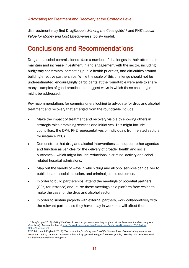disinvestment may find DrugScope's *Making the Case* guide<sup>11</sup> and PHE's *Local Value for Money and Cost Effectiveness tools*<sup>12</sup> useful.

## Conclusions and Recommendations

Drug and alcohol commissioners face a number of challenges in their attempts to maintain and increase investment in and engagement with the sector, including budgetary constraints, competing public health priorities, and difficulties around building effective partnerships. While the scale of this challenge should not be underestimated, encouragingly participants at the roundtable were able to share many examples of good practice and suggest ways in which these challenges might be addressed.

Key recommendations for commissioners looking to advocate for drug and alcohol treatment and recovery that emerged from the roundtable include:

- Make the impact of treatment and recovery visible by showing others in strategic roles promising services and initiatives. This might include councillors, the DPH, PHE representatives or individuals from related sectors, for instance PCCs.
- Demonstrate that drug and alcohol interventions can support other agendas and function as vehicles for the delivery of broader health and social outcomes – which might include reductions in criminal activity or alcohol related hospital admissions.
- Map out the variety of ways in which drug and alcohol services can deliver to public health, social inclusion, and criminal justice outcomes.
- In order to build partnerships, attend the meetings of potential partners (GPs, for instance) and utilise these meetings as a platform from which to make the case for the drug and alcohol sector.
- In order to sustain projects with external partners, work collaboratively with the relevant partners so they have a say in work that will affect them.

<sup>11</sup> DrugScope (2014) *Making the Case: A practical guide to promoting drug and alcohol treatment and recovery services locally.* Accessed online at [http://www.drugscope.org.uk/Resources/Drugscope/Documents/PDF/Policy/](http://www.drugscope.org.uk/Resources/Drugscope/Documents/PDF/Policy/MakingTheCase.pdf) [MakingTheCase.pdf](http://www.drugscope.org.uk/Resources/Drugscope/Documents/PDF/Policy/MakingTheCase.pdf)

<sup>12</sup> Public Health England (2014) *The Local Value for Money and Cost-Effectiveness Tools: Demonstrating the return on investment of drug treatment*. Accessed online at http://www.lho.org.uk/Download/Public/18361/1/140129%20London% 20K&I%20network%20-%20Virginia%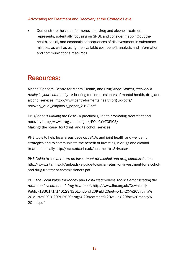Demonstrate the value for money that drug and alcohol treatment represents, potentially focusing on SROI, and consider mapping out the health, social, and economic consequences of disinvestment in substance misuse., as well as using the available cost benefit analysis and information and communications resources

## Resources:

Alcohol Concern, Centre for Mental Health, and DrugScope *Making recovery a reality in your community -* A briefing for commissioners of mental health, drug and alcohol services. http://www.centreformentalhealth.org.uk/pdfs/ recovery dual diagnosis paper 2013.pdf

DrugScope's *Making the Case* - A practical guide to promoting treatment and recovery [http://www.drugscope.org.uk/POLICY+TOPICS/](http://www.drugscope.org.uk/POLICY+TOPICS/Making+the+case+for+drug+and+alcohol+services) [Making+the+case+for+drug+and+alcohol+services](http://www.drugscope.org.uk/POLICY+TOPICS/Making+the+case+for+drug+and+alcohol+services)

PHE tools to help local areas develop JSNAs and joint health and wellbeing strategies and to communicate the benefit of investing in drugs and alcohol treatment locally<http://www.nta.nhs.uk/healthcare-JSNA.aspx>

PHE *Guide to social return on investment for alcohol and drug commissioners*  [http://www.nta.nhs.uk/uploads/a-guide-to-social-return-on-investment-for-alcohol](http://www.nta.nhs.uk/uploads/a-guide-to-social-return-on-investment-for-alcohol-and-drug-treatment-commissioners.pdf)[and-drug-treatment-commissioners.pdf](http://www.nta.nhs.uk/uploads/a-guide-to-social-return-on-investment-for-alcohol-and-drug-treatment-commissioners.pdf) 

PHE *The Local Value for Money and Cost-Effectiveness Tools: Demonstrating the return on investment of drug treatment*. http://www.lho.org.uk/Download/ Public/18361/1/140129%20London%20K&I%20network%20-%20Virginia% 20Musto%20-%20PHE%20drugs%20treatment%20value%20for%20money% 20tool.pdf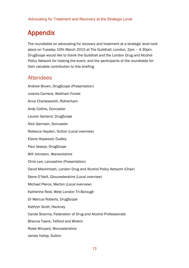# Appendix

The roundtable on advocating for recovery and treatment at a strategic level took place on Tuesday 10th March 2015 at The Guildhall, London, 2pm – 4.30pm. DrugScope would like to thank the Guildhall and the London Drug and Alcohol Policy Network for hosting the event, and the participants of the roundtable for their valuable contribution to this briefing.

### **Attendees**

Andrew Brown, DrugScope (Presentation) Julanta Carriere, Waltham Forest Anne Charlesworth, Rotherham Andy Collins, Doncaster Lauren Garland, DrugScope Nick Germain, Doncaster Rebecca Hayden, Sutton (Local overview) Elaine Hopwood, Dudley Paul Jessop, DrugScope Will Johnston, Warwickshire Chris Lee, Lancashire (Presentation) David MackIntosh, London Drug and Alcohol Policy Network (Chair) Steve O'Neill, Gloucestershire (Local overview) Michael Pierce, Merton (Local overview) Katherine Reid, West London Tri-Borough Dr Marcus Roberts, DrugScope Kathryn Scott, Hackney Carole Sharma, Federation of Drug and Alcohol Professionals Bhavna Taank, Telford and Wrekin Rosie Winyard, Worcestershire

James Yallop, Sutton